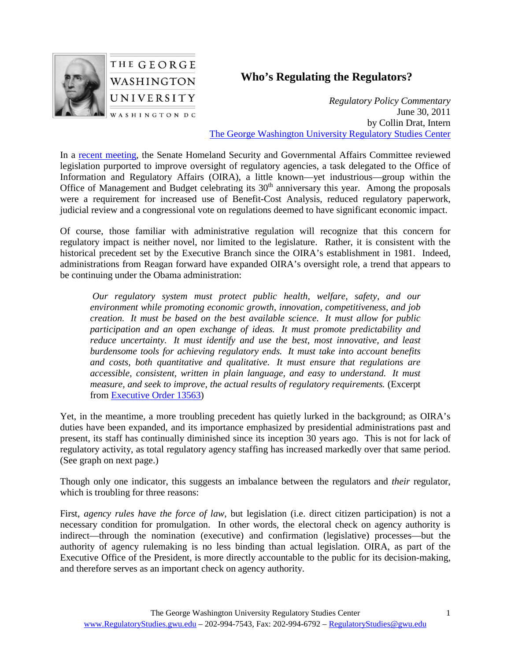

## **Who's Regulating the Regulators?**

*Regulatory Policy Commentary* June 30, 2011 by Collin Drat, Intern [The George Washington University Regulatory Studies Center](http://www.regulatorystudies.gwu.edu/)

In a [recent meeting,](http://hsgac.senate.gov/public/index.cfm?FuseAction=Hearings.Hearing&Hearing_ID=6cb07bbd-a858-4495-b820-0726ae7d769b) the Senate Homeland Security and Governmental Affairs Committee reviewed legislation purported to improve oversight of regulatory agencies, a task delegated to the Office of Information and Regulatory Affairs (OIRA), a little known—yet industrious—group within the Office of Management and Budget celebrating its 30<sup>th</sup> anniversary this year. Among the proposals were a requirement for increased use of Benefit-Cost Analysis, reduced regulatory paperwork, judicial review and a congressional vote on regulations deemed to have significant economic impact.

Of course, those familiar with administrative regulation will recognize that this concern for regulatory impact is neither novel, nor limited to the legislature. Rather, it is consistent with the historical precedent set by the Executive Branch since the OIRA's establishment in 1981. Indeed, administrations from Reagan forward have expanded OIRA's oversight role, a trend that appears to be continuing under the Obama administration:

*Our regulatory system must protect public health, welfare, safety, and our environment while promoting economic growth, innovation, competitiveness, and job creation. It must be based on the best available science. It must allow for public participation and an open exchange of ideas. It must promote predictability and reduce uncertainty. It must identify and use the best, most innovative, and least burdensome tools for achieving regulatory ends. It must take into account benefits and costs, both quantitative and qualitative. It must ensure that regulations are accessible, consistent, written in plain language, and easy to understand. It must measure, and seek to improve, the actual results of regulatory requirements.* (Excerpt from [Executive Order 13563\)](http://www.gpo.gov/fdsys/pkg/FR-2011-01-21/pdf/2011-1385.pdf)

Yet, in the meantime, a more troubling precedent has quietly lurked in the background; as OIRA's duties have been expanded, and its importance emphasized by presidential administrations past and present, its staff has continually diminished since its inception 30 years ago. This is not for lack of regulatory activity, as total regulatory agency staffing has increased markedly over that same period. (See graph on next page.)

Though only one indicator, this suggests an imbalance between the regulators and *their* regulator, which is troubling for three reasons:

First, *agency rules have the force of law*, but legislation (i.e. direct citizen participation) is not a necessary condition for promulgation. In other words, the electoral check on agency authority is indirect—through the nomination (executive) and confirmation (legislative) processes—but the authority of agency rulemaking is no less binding than actual legislation. OIRA, as part of the Executive Office of the President, is more directly accountable to the public for its decision-making, and therefore serves as an important check on agency authority.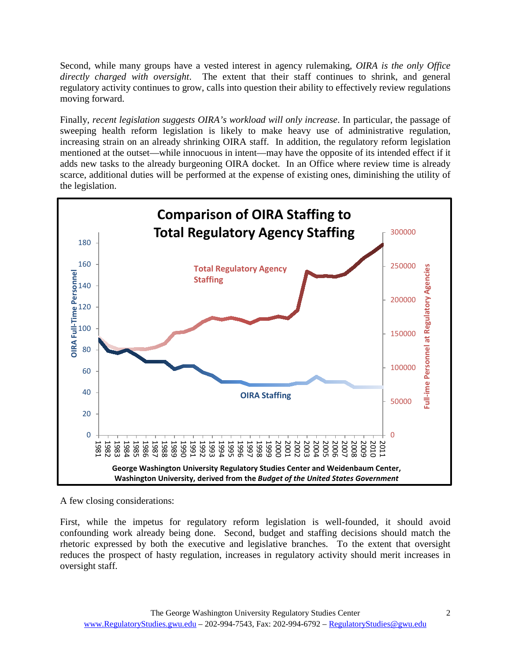Second, while many groups have a vested interest in agency rulemaking, *OIRA is the only Office directly charged with oversight*. The extent that their staff continues to shrink, and general regulatory activity continues to grow, calls into question their ability to effectively review regulations moving forward.

Finally, *recent legislation suggests OIRA's workload will only increase*. In particular, the passage of sweeping health reform legislation is likely to make heavy use of administrative regulation, increasing strain on an already shrinking OIRA staff. In addition, the regulatory reform legislation mentioned at the outset—while innocuous in intent—may have the opposite of its intended effect if it adds new tasks to the already burgeoning OIRA docket. In an Office where review time is already scarce, additional duties will be performed at the expense of existing ones, diminishing the utility of the legislation.



A few closing considerations:

First, while the impetus for regulatory reform legislation is well-founded, it should avoid confounding work already being done. Second, budget and staffing decisions should match the rhetoric expressed by both the executive and legislative branches. To the extent that oversight reduces the prospect of hasty regulation, increases in regulatory activity should merit increases in oversight staff.